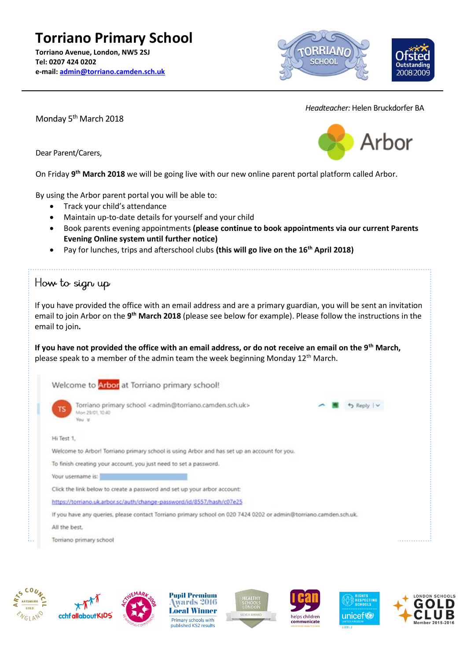**Torriano Primary School Torriano Avenue, London, NW5 2SJ Tel: 0207 424 0202 e-mail: [admin@torriano.camden.sch.uk](mailto:admin@torriano.camden.sch.uk)**





 *Headteacher:* Helen Bruckdorfer BA

Arbor

Dear Parent/Carers,

On Friday 9<sup>th</sup> March 2018 we will be going live with our new online parent portal platform called Arbor.

By using the Arbor parent portal you will be able to:

- Track your child's attendance
- Maintain up-to-date details for yourself and your child
- Book parents evening appointments **(please continue to book appointments via our current Parents Evening Online system until further notice)**
- Pay for lunches, trips and afterschool clubs **(this will go live on the 16th April 2018)**

## How to sign up

If you have provided the office with an email address and are a primary guardian, you will be sent an invitation email to join Arbor on the **9 th March 2018** (please see below for example). Please follow the instructions in the email to join**.**

**If you have not provided the office with an email address, or do not receive an email on the 9th March,**  please speak to a member of the admin team the week beginning Monday 12<sup>th</sup> March.

Welcome to **Arbor** at Torriano primary school! Torriano primary school <admin@torriano.camden.sch.uk> S Reply | v Mon 29/01 10:40 **Vous** Se Hi Test 1. Welcome to Arbor! Torriano primary school is using Arbor and has set up an account for you. To finish creating your account, you just need to set a password. Your username is: Click the link below to create a password and set up your arbor account: https://torriano.uk.arbor.sc/auth/change-password/id/8557/hash/c07e25 If you have any queries, please contact Torriano primary school on 020 7424 0202 or admin@torriano.camden.sch.uk. All the best. Torriano primary school





**Pupil Premium** wards 2016 **Local Winner** Primary schools with ublished KS2 results